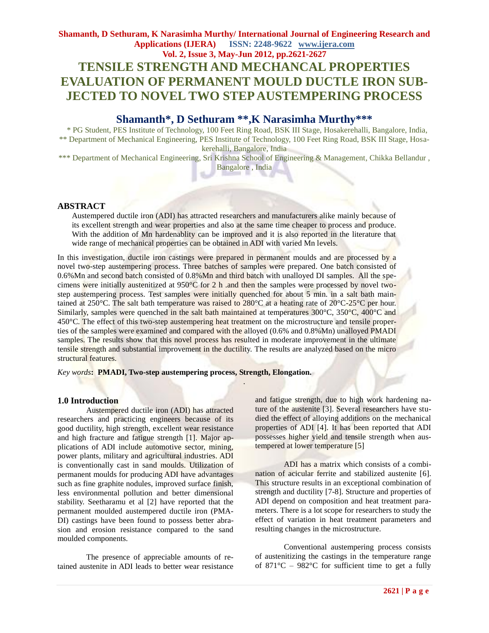# **Shamanth, D Sethuram, K Narasimha Murthy/ International Journal of Engineering Research and Applications (IJERA) ISSN: 2248-9622 www.ijera.com Vol. 2, Issue 3, May-Jun 2012, pp.2621-2627 TENSILE STRENGTH AND MECHANCAL PROPERTIES EVALUATION OF PERMANENT MOULD DUCTLE IRON SUB-JECTED TO NOVEL TWO STEP AUSTEMPERING PROCESS**

# **Shamanth\*, D Sethuram \*\*, K Narasimha Murthy\*\*\***

 \* PG Student, PES Institute of Technology, 100 Feet Ring Road, BSK III Stage, Hosakerehalli, Bangalore, India, \*\* Department of Mechanical Engineering, PES Institute of Technology, 100 Feet Ring Road, BSK III Stage, Hosakerehalli, Bangalore, India

\*\*\* Department of Mechanical Engineering, Sri Krishna School of Engineering & Management, Chikka Bellandur, Bangalore , India

# **ABSTRACT**

Austempered ductile iron (ADI) has attracted researchers and manufacturers alike mainly because of its excellent strength and wear properties and also at the same time cheaper to process and produce. With the addition of Mn hardenablity can be improved and it is also reported in the literature that wide range of mechanical properties can be obtained in ADI with varied Mn levels.

In this investigation, ductile iron castings were prepared in permanent moulds and are processed by a novel two-step austempering process. Three batches of samples were prepared. One batch consisted of 0.6%Mn and second batch consisted of 0.8%Mn and third batch with unalloyed DI samples. All the specimens were initially austenitized at 950°C for 2 h .and then the samples were processed by novel twostep austempering process. Test samples were initially quenched for about 5 min. in a salt bath maintained at 250°C. The salt bath temperature was raised to 280°C at a heating rate of 20°C-25°C per hour. Similarly, samples were quenched in the salt bath maintained at temperatures 300°C, 350°C, 400°C and 450°C. The effect of this two-step austempering heat treatment on the microstructure and tensile properties of the samples were examined and compared with the alloyed (0.6% and 0.8%Mn) unalloyed PMADI samples. The results show that this novel process has resulted in moderate improvement in the ultimate tensile strength and substantial improvement in the ductility. The results are analyzed based on the micro structural features.

.

*Key words***: PMADI, Two-step austempering process, Strength, Elongation.**

### **1.0 Introduction**

Austempered ductile iron (ADI) has attracted researchers and practicing engineers because of its good ductility, high strength, excellent wear resistance and high fracture and fatigue strength [1]. Major applications of ADI include automotive sector, mining, power plants, military and agricultural industries. ADI is conventionally cast in sand moulds. Utilization of permanent moulds for producing ADI have advantages such as fine graphite nodules, improved surface finish, less environmental pollution and better dimensional stability. Seetharamu et al [2] have reported that the permanent moulded austempered ductile iron (PMA-DI) castings have been found to possess better abrasion and erosion resistance compared to the sand moulded components.

The presence of appreciable amounts of retained austenite in ADI leads to better wear resistance

and fatigue strength, due to high work hardening nature of the austenite [3]. Several researchers have studied the effect of alloying additions on the mechanical properties of ADI [4]. It has been reported that ADI possesses higher yield and tensile strength when austempered at lower temperature [5]

ADI has a matrix which consists of a combination of acicular ferrite and stabilized austenite [6]. This structure results in an exceptional combination of strength and ductility [7-8]. Structure and properties of ADI depend on composition and heat treatment parameters. There is a lot scope for researchers to study the effect of variation in heat treatment parameters and resulting changes in the microstructure.

Conventional austempering process consists of austenitizing the castings in the temperature range of  $871^{\circ}$ C –  $982^{\circ}$ C for sufficient time to get a fully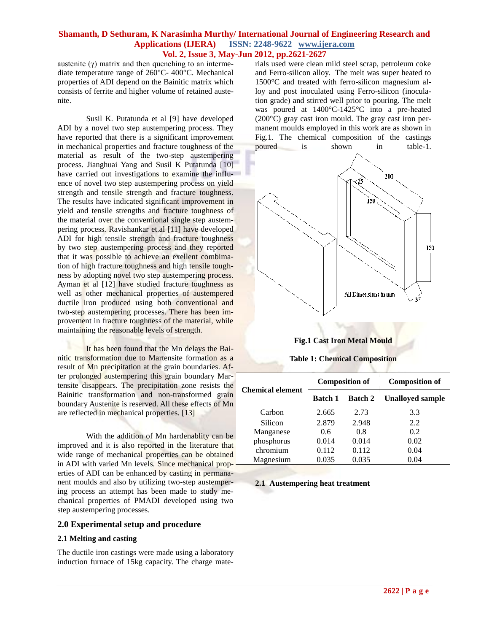austenite (γ) matrix and then quenching to an intermediate temperature range of 260°C- 400°C. Mechanical properties of ADI depend on the Bainitic matrix which consists of ferrite and higher volume of retained austenite.

Susil K. Putatunda et al [9] have developed ADI by a novel two step austempering process. They have reported that there is a significant improvement in mechanical properties and fracture toughness of the material as result of the two-step austempering process. Jianghuai Yang and Susil K Putatunda [10] have carried out investigations to examine the influence of novel two step austempering process on yield strength and tensile strength and fracture toughness. The results have indicated significant improvement in yield and tensile strengths and fracture toughness of the material over the conventional single step austempering process. Ravishankar et.al [11] have developed ADI for high tensile strength and fracture toughness by two step austempering process and they reported that it was possible to achieve an exellent combimation of high fracture toughness and high tensile toughness by adopting novel two step austempering process. Ayman et al [12] have studied fracture toughness as well as other mechanical properties of austempered ductile iron produced using both conventional and two-step austempering processes. There has been improvement in fracture toughness of the material, while maintaining the reasonable levels of strength.

It has been found that the Mn delays the Bainitic transformation due to Martensite formation as a result of Mn precipitation at the grain boundaries. After prolonged austempering this grain boundary Martensite disappears. The precipitation zone resists the Bainitic transformation and non-transformed grain boundary Austenite is reserved. All these effects of Mn are reflected in mechanical properties. [13]

With the addition of Mn hardenablity can be improved and it is also reported in the literature that wide range of mechanical properties can be obtained in ADI with varied Mn levels*.* Since mechanical properties of ADI can be enhanced by casting in permananent moulds and also by utilizing two-step austempering process an attempt has been made to study mechanical properties of PMADI developed using two step austempering processes.

# **2.0 Experimental setup and procedure**

### **2.1 Melting and casting**

The ductile iron castings were made using a laboratory induction furnace of 15kg capacity. The charge materials used were clean mild steel scrap, petroleum coke and Ferro-silicon alloy. The melt was super heated to 1500°C and treated with ferro-silicon magnesium alloy and post inoculated using Ferro-silicon (inoculation grade) and stirred well prior to pouring. The melt was poured at 1400°C-1425°C into a pre-heated (200°C) gray cast iron mould. The gray cast iron permanent moulds employed in this work are as shown in Fig.1. The chemical composition of the castings poured is shown in table-1.



# **Fig.1 Cast Iron Metal Mould**

## **Table 1: Chemical Composition**

| <b>Chemical element</b> |                | <b>Composition of</b> | <b>Composition of</b>   |  |  |
|-------------------------|----------------|-----------------------|-------------------------|--|--|
|                         | <b>Batch 1</b> | <b>Batch 2</b>        | <b>Unalloyed sample</b> |  |  |
| Carbon                  | 2.665          | 2.73                  | 3.3                     |  |  |
| Silicon                 | 2.879          | 2.948                 | 2.2.                    |  |  |
| Manganese               | 0.6            | 0.8                   | 0.2                     |  |  |
| phosphorus              | 0.014          | 0.014                 | 0.02                    |  |  |
| chromium                | 0.112          | 0.112                 | 0.04                    |  |  |
| Magnesium               | 0.035          | 0.035                 | 0.04                    |  |  |

### **2.1 Austempering heat treatment**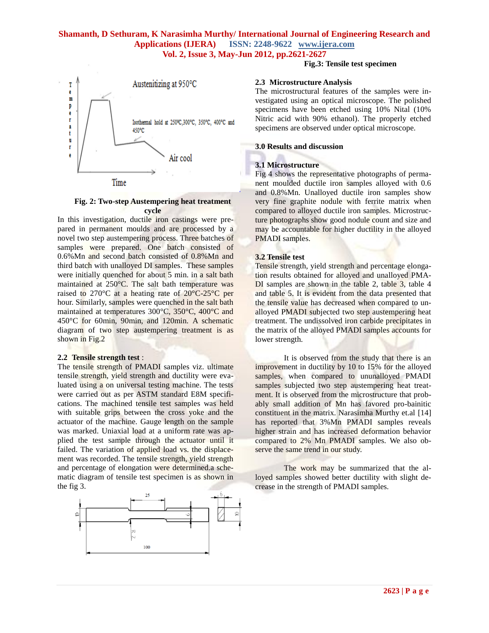

### **Fig. 2: Two-step Austempering heat treatment cycle**

In this investigation, ductile iron castings were prepared in permanent moulds and are processed by a novel two step austempering process. Three batches of samples were prepared. One batch consisted of 0.6%Mn and second batch consisted of 0.8%Mn and third batch with unalloyed DI samples. These samples were initially quenched for about 5 min. in a salt bath maintained at 250°C. The salt bath temperature was raised to 270°C at a heating rate of 20°C-25°C per hour. Similarly, samples were quenched in the salt bath maintained at temperatures 300°C, 350°C, 400°C and 450°C for 60min, 90min, and 120min. A schematic diagram of two step austempering treatment is as shown in Fig.2

### **2.2 Tensile strength test** :

The tensile strength of PMADI samples viz. ultimate tensile strength, yield strength and ductility were evaluated using a on universal testing machine. The tests were carried out as per ASTM standard E8M specifications. The machined tensile test samples was held with suitable grips between the cross yoke and the actuator of the machine. Gauge length on the sample was marked. Uniaxial load at a uniform rate was applied the test sample through the actuator until it failed. The variation of applied load vs. the displacement was recorded. The tensile strength, yield strength and percentage of elongation were determined.a schematic diagram of tensile test specimen is as shown in the fig 3.



# **Fig.3: Tensile test specimen**

### **2.3 Microstructure Analysis**

The microstructural features of the samples were investigated using an optical microscope. The polished specimens have been etched using 10% Nital (10% Nitric acid with 90% ethanol). The properly etched specimens are observed under optical microscope.

### **3.0 Results and discussion**

## **3.1 Microstructure**

Fig 4 shows the representative photographs of permanent moulded ductile iron samples alloyed with 0.6 and 0.8%Mn. Unalloyed ductile iron samples show very fine graphite nodule with ferrite matrix when compared to alloyed ductile iron samples. Microstructure photographs show good nodule count and size and may be accountable for higher ductility in the alloyed PMADI samples.

## **3.2 Tensile test**

Tensile strength, yield strength and percentage elongation results obtained for alloyed and unalloyed PMA-DI samples are shown in the table 2, table 3, table 4 and table 5. It is evident from the data presented that the tensile value has decreased when compared to unalloyed PMADI subjected two step austempering heat treatment. The undissolved iron carbide precipitates in the matrix of the alloyed PMADI samples accounts for lower strength.

It is observed from the study that there is an improvement in ductility by 10 to 15% for the alloyed samples, when compared to ununalloyed PMADI samples subjected two step austempering heat treatment. It is observed from the microstructure that probably small addition of Mn has favored pro-bainitic constituent in the matrix. Narasimha Murthy et.al [14] has reported that 3%Mn PMADI samples reveals higher strain and has increased deformation behavior compared to 2% Mn PMADI samples. We also observe the same trend in our study.

The work may be summarized that the alloyed samples showed better ductility with slight decrease in the strength of PMADI samples.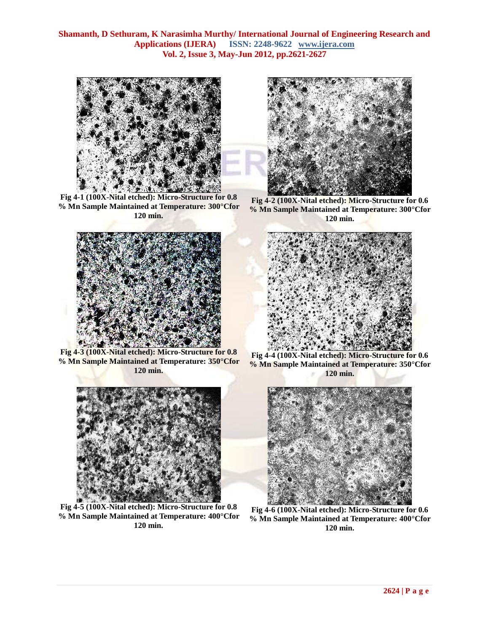

**Fig 4-1 (100X-Nital etched): Micro-Structure for 0.8 % Mn Sample Maintained at Temperature: 300°Cfor 120 min.**



**Fig 4-3 (100X-Nital etched): Micro-Structure for 0.8 % Mn Sample Maintained at Temperature: 350°Cfor 120 min.**



**Fig 4-5 (100X-Nital etched): Micro-Structure for 0.8 % Mn Sample Maintained at Temperature: 400°Cfor 120 min.**



**Fig 4-2 (100X-Nital etched): Micro-Structure for 0.6 % Mn Sample Maintained at Temperature: 300°Cfor 120 min.**



**Fig 4-4 (100X-Nital etched): Micro-Structure for 0.6 % Mn Sample Maintained at Temperature: 350°Cfor 120 min.**



**Fig 4-6 (100X-Nital etched): Micro-Structure for 0.6 % Mn Sample Maintained at Temperature: 400°Cfor 120 min.**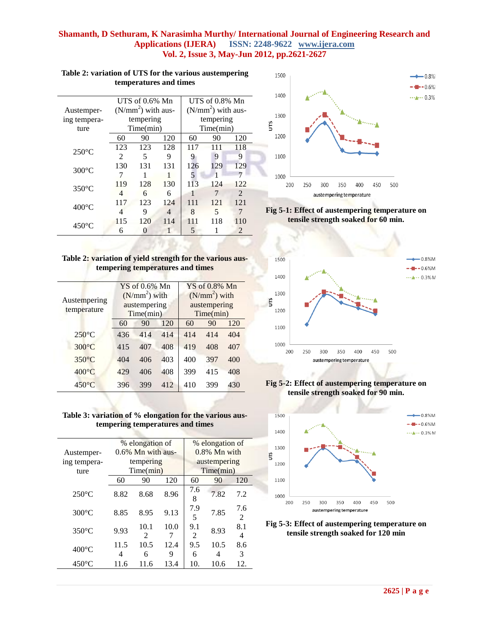|                 | UTS of $0.6\%$ Mn |                     |     | UTS of $0.8\%$ Mn |                     |     |  |  |
|-----------------|-------------------|---------------------|-----|-------------------|---------------------|-----|--|--|
| Austemper-      |                   | $(N/mm2)$ with aus- |     |                   | $(N/mm2)$ with aus- |     |  |  |
| ing tempera-    |                   | tempering           |     | tempering         |                     |     |  |  |
| ture            |                   | Time(min)           |     | Time(min)         |                     |     |  |  |
|                 | 60                | 90                  | 120 | 60                | 90                  | 120 |  |  |
| $250^{\circ}$ C | 123               | 123                 | 128 | 117               | 111                 | 118 |  |  |
|                 | 2                 | 5                   | 9   | 9                 | 9                   | 9   |  |  |
| $300^{\circ}$ C | 130               | 131                 | 131 | 126               | 129                 | 129 |  |  |
|                 | 7                 |                     |     | 5                 |                     | 7   |  |  |
| $350^{\circ}$ C | 119               | 128                 | 130 | 113               | 124                 | 122 |  |  |
|                 | 4                 | 6                   | 6   | 1                 | 7                   | 2   |  |  |
| $400^{\circ}$ C | 117               | 123                 | 124 | 111               | 121                 | 121 |  |  |
|                 | 4                 | 9                   | 4   | 8                 | 5                   | 7   |  |  |
| $450^{\circ}$ C | 115               | 120                 | 114 | 111               | 118                 | 110 |  |  |
|                 | 6                 | 0                   | 1   | 5                 |                     | 2   |  |  |

### **Table 2: variation of UTS for the various austempering temperatures and times**

| Table 2: variation of yield strength for the various aus- |                                  |  |  |
|-----------------------------------------------------------|----------------------------------|--|--|
|                                                           | tempering temperatures and times |  |  |

| Austempering<br>temperature | $YS$ of 0.6% Mn<br>$(N/mm2)$ with<br>austempering<br>Time(min) |     |     | $YS$ of $0.8\%$ Mn<br>$(N/mm2)$ with<br>austempering<br>Time(min) |     |     |
|-----------------------------|----------------------------------------------------------------|-----|-----|-------------------------------------------------------------------|-----|-----|
|                             | 60                                                             | 90  | 120 | 60                                                                | 90  | 120 |
| $250^{\circ}$ C             | 436                                                            | 414 | 414 | 414                                                               | 414 | 404 |
| $300^{\circ}$ C             | 415                                                            | 407 | 408 | 419                                                               | 408 | 407 |
| $350^{\circ}$ C             | 404                                                            | 406 | 403 | 400                                                               | 397 | 400 |
| $400^{\circ}$ C             | 429                                                            | 406 | 408 | 399                                                               | 415 | 408 |
| $450^{\circ}$ C             | 396                                                            | 399 | 412 | 410                                                               | 399 | 430 |



|                 | % elongation of      |                                     |           | % elongation of                    |      |                      |
|-----------------|----------------------|-------------------------------------|-----------|------------------------------------|------|----------------------|
| Austemper-      | $0.6\%$ Mn with aus- |                                     |           | $0.8\%$ Mn with                    |      |                      |
| ing tempera-    | tempering            |                                     |           | austempering                       |      |                      |
| ture            |                      | Time(min)                           |           | Time(min)                          |      |                      |
|                 | 60                   | 90                                  | 120       | 60                                 | 90   | 120                  |
| $250^{\circ}$ C | 8.82                 | 8.68                                | 8.96      | 7.6<br>8                           | 7.82 | 7.2                  |
| $300^{\circ}$ C | 8.85                 | 8.95                                | 9.13      | 7.9<br>5                           | 7.85 | 7.6<br>$\mathcal{L}$ |
| $350^{\circ}$ C | 9.93                 | 10.1<br>$\mathcal{D}_{\mathcal{L}}$ | 10.0<br>7 | 9.1<br>$\mathcal{D}_{\mathcal{A}}$ | 8.93 | 8.1<br>4             |
| $400^{\circ}$ C | 11.5                 | 10.5                                | 12.4      | 9.5                                | 10.5 | 8.6                  |
|                 | 4                    | 6                                   | 9         | 6                                  | 4    | 3                    |
| $450^{\circ}$ C | 11.6                 | 11.6                                | 13.4      | 10.                                | 10.6 | 12.                  |
|                 |                      |                                     |           |                                    |      |                      |











**Fig 5-3: Effect of austempering temperature on tensile strength soaked for 120 min**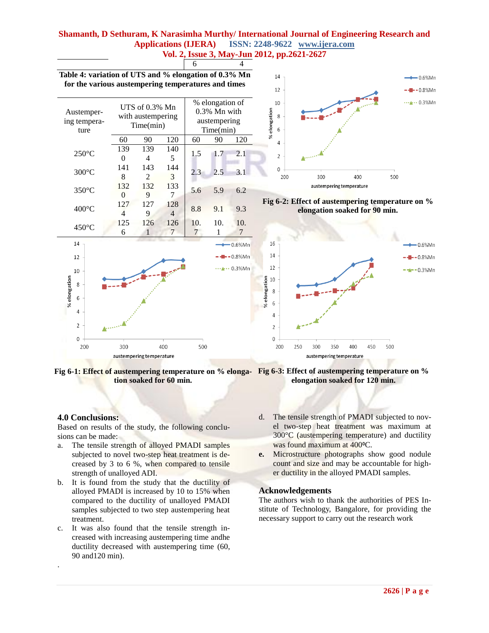

**Fig 6-1: Effect of austempering temperature on % elonga-Fig 6-3: Effect of austempering temperature on % tion soaked for 60 min.**

**elongation soaked for 120 min.**

## **4.0 Conclusions:**

.

Based on results of the study, the following conclusions can be made:

- a. The tensile strength of alloyed PMADI samples subjected to novel two-step heat treatment is decreased by 3 to 6 %, when compared to tensile strength of unalloyed ADI.
- b. It is found from the study that the ductility of alloyed PMADI is increased by 10 to 15% when compared to the ductility of unalloyed PMADI samples subjected to two step austempering heat treatment.
- c. It was also found that the tensile strength increased with increasing austempering time andhe ductility decreased with austempering time (60, 90 and120 min).
- d. The tensile strength of PMADI subjected to novel two-step heat treatment was maximum at 300°C (austempering temperature) and ductility was found maximum at 400°C.
- **e.** Microstructure photographs show good nodule count and size and may be accountable for higher ductility in the alloyed PMADI samples.

### **Acknowledgements**

The authors wish to thank the authorities of PES Institute of Technology, Bangalore, for providing the necessary support to carry out the research work